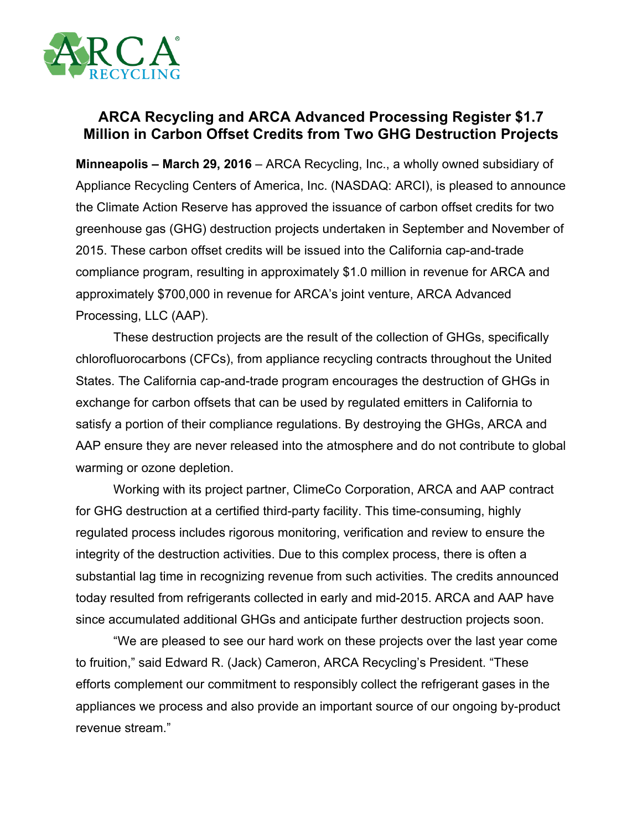

## **ARCA Recycling and ARCA Advanced Processing Register \$1.7 Million in Carbon Offset Credits from Two GHG Destruction Projects**

**Minneapolis – March 29, 2016** – ARCA Recycling, Inc., a wholly owned subsidiary of Appliance Recycling Centers of America, Inc. (NASDAQ: ARCI), is pleased to announce the Climate Action Reserve has approved the issuance of carbon offset credits for two greenhouse gas (GHG) destruction projects undertaken in September and November of 2015. These carbon offset credits will be issued into the California cap-and-trade compliance program, resulting in approximately \$1.0 million in revenue for ARCA and approximately \$700,000 in revenue for ARCA's joint venture, ARCA Advanced Processing, LLC (AAP).

These destruction projects are the result of the collection of GHGs, specifically chlorofluorocarbons (CFCs), from appliance recycling contracts throughout the United States. The California cap-and-trade program encourages the destruction of GHGs in exchange for carbon offsets that can be used by regulated emitters in California to satisfy a portion of their compliance regulations. By destroying the GHGs, ARCA and AAP ensure they are never released into the atmosphere and do not contribute to global warming or ozone depletion.

Working with its project partner, ClimeCo Corporation, ARCA and AAP contract for GHG destruction at a certified third-party facility. This time-consuming, highly regulated process includes rigorous monitoring, verification and review to ensure the integrity of the destruction activities. Due to this complex process, there is often a substantial lag time in recognizing revenue from such activities. The credits announced today resulted from refrigerants collected in early and mid-2015. ARCA and AAP have since accumulated additional GHGs and anticipate further destruction projects soon.

"We are pleased to see our hard work on these projects over the last year come to fruition," said Edward R. (Jack) Cameron, ARCA Recycling's President. "These efforts complement our commitment to responsibly collect the refrigerant gases in the appliances we process and also provide an important source of our ongoing by-product revenue stream."